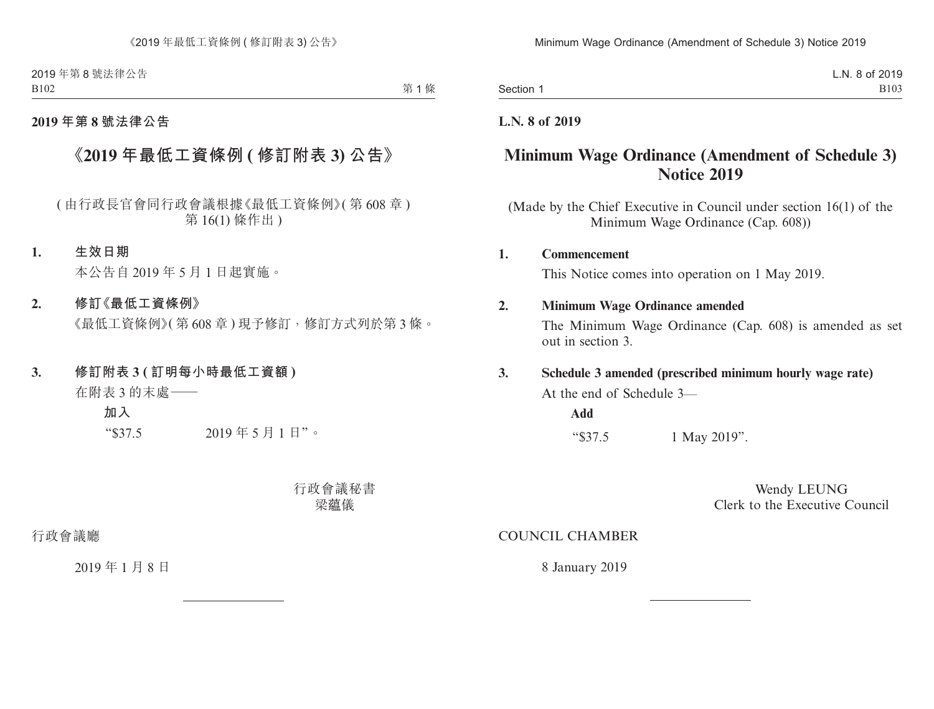2019 年第 8 號法律公告 B102

第1條

### **2019 年第 8 號法律公告**

# **《2019 年最低工資條例 ( 修訂附表 3) 公告》**

( 由行政長官會同行政會議根據《最低工資條例》( 第 608 章 ) 第 16(1) 條作出 )

#### **1. 生效日期**

本公告自 2019 年 5 月 1 日起實施。

### **2. 修訂《最低工資條例》**

《最低工資條例》(第608章)現予修訂,修訂方式列於第3條。

#### **3. 修訂附表 3 ( 訂明每小時最低工資額 )**

在附表 3 的末處——

**加入**

"\$37.5 2019 年 5 月 1 日"。

行政會議秘書 梁蘊儀

行政會議廳

2019 年 1 月 8 日